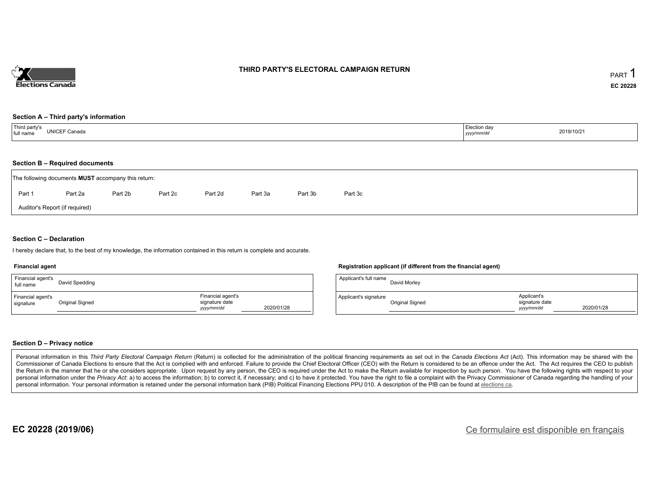

### **THIRD PARTY'S ELECTORAL CAMPAIGN RETURN**

#### **Section A – Third party's information**

| Third party's<br>full name | Election day |            |
|----------------------------|--------------|------------|
| UNICEF Canada              | yyyy/mm/dd   | 2019/10/21 |

### **Section B – Required documents**

|                                | The following documents <b>MUST</b> accompany this return: |         |         |         |         |         |         |  |  |  |  |  |  |
|--------------------------------|------------------------------------------------------------|---------|---------|---------|---------|---------|---------|--|--|--|--|--|--|
| Part 1                         | Part 2a                                                    | Part 2b | Part 2c | Part 2d | Part 3a | Part 3b | Part 3c |  |  |  |  |  |  |
| Auditor's Report (if required) |                                                            |         |         |         |         |         |         |  |  |  |  |  |  |

### **Section C – Declaration**

I hereby declare that, to the best of my knowledge, the information contained in this return is complete and accurate.

#### **Financial agent**

| Financial agent's<br>full name | David Spedding  |                                                   |            |
|--------------------------------|-----------------|---------------------------------------------------|------------|
| Financial agent's<br>signature | Original Signed | Financial agent's<br>signature date<br>yyyy/mm/dd | 2020/01/28 |

#### **Registration applicant (if different from the financial agent)**

| Applicant's full name | David Morley    |                                             |            |
|-----------------------|-----------------|---------------------------------------------|------------|
| Applicant's signature | Original Signed | Applicant's<br>signature date<br>vyyy/mm/dd | 2020/01/28 |

### **Section D – Privacy notice**

Personal information in this Third Party Electoral Campaign Return (Return) is collected for the administration of the political financing requirements as set out in the Canada Elections Act (Act). This information may be Commissioner of Canada Elections to ensure that the Act is complied with and enforced. Failure to provide the Chief Electoral Officer (CEO) with the Return is considered to be an offence under the Act. The Act requires the the Return in the manner that he or she considers appropriate. Upon request by any person, the CEO is required under the Act to make the Return available for inspection by such person. You have the following rights with re personal information under the Privacy Act: a) to access the information; b) to correct it, if necessary; and c) to have it protected. You have the right to file a complaint with the Privacy Commissioner of Canada regardin personal information. Your personal information is retained under the personal information bank (PIB) Political Financing Elections PPU 010. A description of the PIB can be found at elections.ca.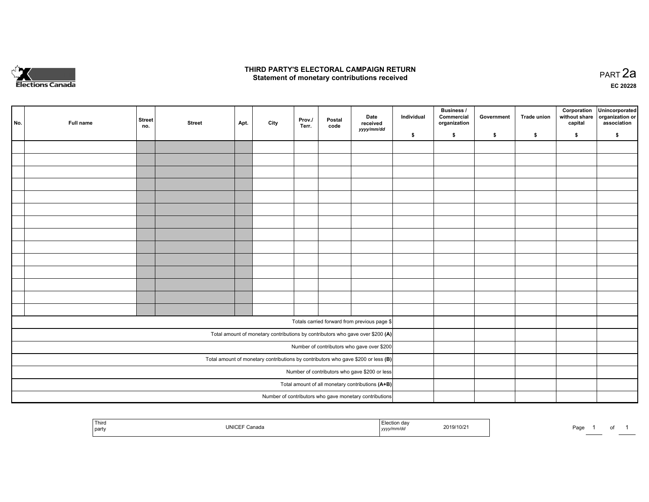

## **THIRD PARTY'S ELECTORAL CAMPAIGN RETURN HIRD PARTY'S ELECTORAL CAMPAIGN RETURN<br>Statement of monetary contributions received PART 2a PART 2a**

**EC 20228**

| No. | Full name | <b>Street</b><br>no.                                                                | <b>Street</b> | Apt. | City | Prov./<br>Terr. | Postal<br>code | Date<br>received                                                               | Individual | <b>Business /</b><br>Commercial<br>organization | Government | Trade union | Corporation<br>without share<br>capital | Unincorporated<br>organization or<br>association |
|-----|-----------|-------------------------------------------------------------------------------------|---------------|------|------|-----------------|----------------|--------------------------------------------------------------------------------|------------|-------------------------------------------------|------------|-------------|-----------------------------------------|--------------------------------------------------|
|     |           |                                                                                     |               |      |      |                 |                | yyyy/mm/dd                                                                     | \$         | \$                                              | \$         | \$          | \$                                      | \$                                               |
|     |           |                                                                                     |               |      |      |                 |                |                                                                                |            |                                                 |            |             |                                         |                                                  |
|     |           |                                                                                     |               |      |      |                 |                |                                                                                |            |                                                 |            |             |                                         |                                                  |
|     |           |                                                                                     |               |      |      |                 |                |                                                                                |            |                                                 |            |             |                                         |                                                  |
|     |           |                                                                                     |               |      |      |                 |                |                                                                                |            |                                                 |            |             |                                         |                                                  |
|     |           |                                                                                     |               |      |      |                 |                |                                                                                |            |                                                 |            |             |                                         |                                                  |
|     |           |                                                                                     |               |      |      |                 |                |                                                                                |            |                                                 |            |             |                                         |                                                  |
|     |           |                                                                                     |               |      |      |                 |                |                                                                                |            |                                                 |            |             |                                         |                                                  |
|     |           |                                                                                     |               |      |      |                 |                |                                                                                |            |                                                 |            |             |                                         |                                                  |
|     |           |                                                                                     |               |      |      |                 |                |                                                                                |            |                                                 |            |             |                                         |                                                  |
|     |           |                                                                                     |               |      |      |                 |                |                                                                                |            |                                                 |            |             |                                         |                                                  |
|     |           |                                                                                     |               |      |      |                 |                |                                                                                |            |                                                 |            |             |                                         |                                                  |
|     |           |                                                                                     |               |      |      |                 |                |                                                                                |            |                                                 |            |             |                                         |                                                  |
|     |           |                                                                                     |               |      |      |                 |                |                                                                                |            |                                                 |            |             |                                         |                                                  |
|     |           |                                                                                     |               |      |      |                 |                |                                                                                |            |                                                 |            |             |                                         |                                                  |
|     |           |                                                                                     |               |      |      |                 |                | Totals carried forward from previous page \$                                   |            |                                                 |            |             |                                         |                                                  |
|     |           |                                                                                     |               |      |      |                 |                | Total amount of monetary contributions by contributors who gave over \$200 (A) |            |                                                 |            |             |                                         |                                                  |
|     |           |                                                                                     |               |      |      |                 |                | Number of contributors who gave over \$200                                     |            |                                                 |            |             |                                         |                                                  |
|     |           | Total amount of monetary contributions by contributors who gave \$200 or less $(B)$ |               |      |      |                 |                |                                                                                |            |                                                 |            |             |                                         |                                                  |
|     |           | Number of contributors who gave \$200 or less                                       |               |      |      |                 |                |                                                                                |            |                                                 |            |             |                                         |                                                  |
|     |           |                                                                                     |               |      |      |                 |                | Total amount of all monetary contributions (A+B)                               |            |                                                 |            |             |                                         |                                                  |
|     |           |                                                                                     |               |      |      |                 |                | Number of contributors who gave monetary contributions                         |            |                                                 |            |             |                                         |                                                  |

| Third<br>party | UNICI<br>Canada | 2019/10/2<br>, yyyy | Page<br>______ | ັ |  |
|----------------|-----------------|---------------------|----------------|---|--|
|----------------|-----------------|---------------------|----------------|---|--|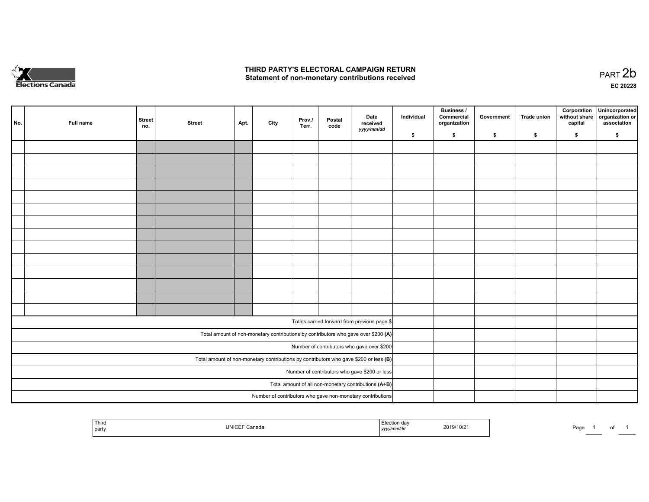

## **THIRD PARTY'S ELECTORAL CAMPAIGN RETURN**  THIRD PARTY'S ELECTORAL CAMPAIGN RETURN<br>Statement of non-monetary contributions received

of 1

| No.                                                                                     | Full name | <b>Street</b><br>no.                          | <b>Street</b> | Apt. | City | Prov.<br>Terr. | Postal<br>code | Date<br>received<br>yyyy/mm/dd                                                     | Individual | <b>Business /</b><br>Commercial<br>organization | Government | Trade union | Corporation<br>without share<br>capital | Unincorporated<br>organization or<br>association |
|-----------------------------------------------------------------------------------------|-----------|-----------------------------------------------|---------------|------|------|----------------|----------------|------------------------------------------------------------------------------------|------------|-------------------------------------------------|------------|-------------|-----------------------------------------|--------------------------------------------------|
|                                                                                         |           |                                               |               |      |      |                |                |                                                                                    | \$         | \$                                              | \$         | \$          | \$                                      | \$                                               |
|                                                                                         |           |                                               |               |      |      |                |                |                                                                                    |            |                                                 |            |             |                                         |                                                  |
|                                                                                         |           |                                               |               |      |      |                |                |                                                                                    |            |                                                 |            |             |                                         |                                                  |
|                                                                                         |           |                                               |               |      |      |                |                |                                                                                    |            |                                                 |            |             |                                         |                                                  |
|                                                                                         |           |                                               |               |      |      |                |                |                                                                                    |            |                                                 |            |             |                                         |                                                  |
|                                                                                         |           |                                               |               |      |      |                |                |                                                                                    |            |                                                 |            |             |                                         |                                                  |
|                                                                                         |           |                                               |               |      |      |                |                |                                                                                    |            |                                                 |            |             |                                         |                                                  |
|                                                                                         |           |                                               |               |      |      |                |                |                                                                                    |            |                                                 |            |             |                                         |                                                  |
|                                                                                         |           |                                               |               |      |      |                |                |                                                                                    |            |                                                 |            |             |                                         |                                                  |
|                                                                                         |           |                                               |               |      |      |                |                |                                                                                    |            |                                                 |            |             |                                         |                                                  |
|                                                                                         |           |                                               |               |      |      |                |                |                                                                                    |            |                                                 |            |             |                                         |                                                  |
|                                                                                         |           |                                               |               |      |      |                |                |                                                                                    |            |                                                 |            |             |                                         |                                                  |
|                                                                                         |           |                                               |               |      |      |                |                |                                                                                    |            |                                                 |            |             |                                         |                                                  |
|                                                                                         |           |                                               |               |      |      |                |                |                                                                                    |            |                                                 |            |             |                                         |                                                  |
|                                                                                         |           |                                               |               |      |      |                |                |                                                                                    |            |                                                 |            |             |                                         |                                                  |
|                                                                                         |           |                                               |               |      |      |                |                |                                                                                    |            |                                                 |            |             |                                         |                                                  |
|                                                                                         |           |                                               |               |      |      |                |                | Totals carried forward from previous page \$                                       |            |                                                 |            |             |                                         |                                                  |
|                                                                                         |           |                                               |               |      |      |                |                | Total amount of non-monetary contributions by contributors who gave over \$200 (A) |            |                                                 |            |             |                                         |                                                  |
| Number of contributors who gave over \$200                                              |           |                                               |               |      |      |                |                |                                                                                    |            |                                                 |            |             |                                         |                                                  |
| Total amount of non-monetary contributions by contributors who gave \$200 or less $(B)$ |           |                                               |               |      |      |                |                |                                                                                    |            |                                                 |            |             |                                         |                                                  |
|                                                                                         |           | Number of contributors who gave \$200 or less |               |      |      |                |                |                                                                                    |            |                                                 |            |             |                                         |                                                  |
| Total amount of all non-monetary contributions (A+B)                                    |           |                                               |               |      |      |                |                |                                                                                    |            |                                                 |            |             |                                         |                                                  |
|                                                                                         |           |                                               |               |      |      |                |                | Number of contributors who gave non-monetary contributions                         |            |                                                 |            |             |                                         |                                                  |
|                                                                                         |           |                                               |               |      |      |                |                |                                                                                    |            |                                                 |            |             |                                         |                                                  |

| Third<br>UNICI<br>下 Canada<br>party | ---<br>.019/10/2<br>$mm^{th}$<br>, yyyyır<br>'mm/ac | Page |
|-------------------------------------|-----------------------------------------------------|------|
|-------------------------------------|-----------------------------------------------------|------|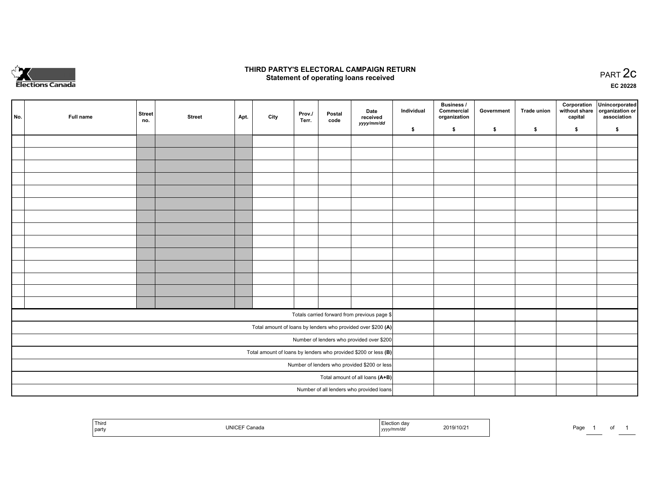

## **THIRD PARTY'S ELECTORAL CAMPAIGN RETURN STATE:** PRACT OF OPPRESS TO PART 2C STATE STATE STATE STATE STATE STATE STATE STATE STATE STATE STATE STATE STA<br>PART 2C Statement of operating loans received

**EC 20228**

| No.                                                             | Full name | <b>Street</b><br>no. | <b>Street</b> | Apt. | City | Prov./<br>Terr. | Postal<br>code | Date<br>received                                             | Individual | <b>Business /</b><br>Commercial<br>organization | Government | <b>Trade union</b> | Corporation<br>capital | Unincorporated<br>without share organization or<br>association |
|-----------------------------------------------------------------|-----------|----------------------|---------------|------|------|-----------------|----------------|--------------------------------------------------------------|------------|-------------------------------------------------|------------|--------------------|------------------------|----------------------------------------------------------------|
|                                                                 |           |                      |               |      |      |                 |                | yyyy/mm/dd                                                   | \$         | \$                                              | \$         | \$                 | \$                     | \$                                                             |
|                                                                 |           |                      |               |      |      |                 |                |                                                              |            |                                                 |            |                    |                        |                                                                |
|                                                                 |           |                      |               |      |      |                 |                |                                                              |            |                                                 |            |                    |                        |                                                                |
|                                                                 |           |                      |               |      |      |                 |                |                                                              |            |                                                 |            |                    |                        |                                                                |
|                                                                 |           |                      |               |      |      |                 |                |                                                              |            |                                                 |            |                    |                        |                                                                |
|                                                                 |           |                      |               |      |      |                 |                |                                                              |            |                                                 |            |                    |                        |                                                                |
|                                                                 |           |                      |               |      |      |                 |                |                                                              |            |                                                 |            |                    |                        |                                                                |
|                                                                 |           |                      |               |      |      |                 |                |                                                              |            |                                                 |            |                    |                        |                                                                |
|                                                                 |           |                      |               |      |      |                 |                |                                                              |            |                                                 |            |                    |                        |                                                                |
|                                                                 |           |                      |               |      |      |                 |                |                                                              |            |                                                 |            |                    |                        |                                                                |
|                                                                 |           |                      |               |      |      |                 |                |                                                              |            |                                                 |            |                    |                        |                                                                |
|                                                                 |           |                      |               |      |      |                 |                |                                                              |            |                                                 |            |                    |                        |                                                                |
|                                                                 |           |                      |               |      |      |                 |                |                                                              |            |                                                 |            |                    |                        |                                                                |
|                                                                 |           |                      |               |      |      |                 |                |                                                              |            |                                                 |            |                    |                        |                                                                |
|                                                                 |           |                      |               |      |      |                 |                |                                                              |            |                                                 |            |                    |                        |                                                                |
|                                                                 |           |                      |               |      |      |                 |                | Totals carried forward from previous page \$                 |            |                                                 |            |                    |                        |                                                                |
|                                                                 |           |                      |               |      |      |                 |                | Total amount of loans by lenders who provided over \$200 (A) |            |                                                 |            |                    |                        |                                                                |
| Number of lenders who provided over \$200                       |           |                      |               |      |      |                 |                |                                                              |            |                                                 |            |                    |                        |                                                                |
| Total amount of loans by lenders who provided \$200 or less (B) |           |                      |               |      |      |                 |                |                                                              |            |                                                 |            |                    |                        |                                                                |
| Number of lenders who provided \$200 or less                    |           |                      |               |      |      |                 |                |                                                              |            |                                                 |            |                    |                        |                                                                |
| Total amount of all loans (A+B)                                 |           |                      |               |      |      |                 |                |                                                              |            |                                                 |            |                    |                        |                                                                |
|                                                                 |           |                      |               |      |      |                 |                | Number of all lenders who provided loans                     |            |                                                 |            |                    |                        |                                                                |

|  | <sup>1</sup> Third<br>`partv | الكالتان | ,,,,,,,,<br>.<br>,,,,, | 2019/10/2 | Doc<br>r dut. |  |  |
|--|------------------------------|----------|------------------------|-----------|---------------|--|--|
|--|------------------------------|----------|------------------------|-----------|---------------|--|--|

Page 1 of 1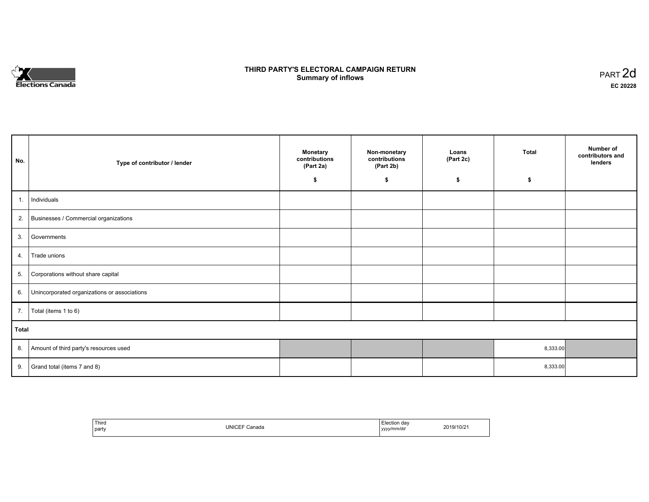

# **THIRD PARTY'S ELECTORAL CAMPAIGN RETURN S** ELECTORAL CAMPAIGN RETURN<br>Summary of inflows PART 2d

| No.   | Type of contributor / lender                 | <b>Monetary</b><br>contributions<br>(Part 2a)<br>\$ | Non-monetary<br>contributions<br>(Part 2b)<br>\$ | Loans<br>(Part 2c)<br>\$ | <b>Total</b><br>\$ | Number of<br>contributors and<br>lenders |
|-------|----------------------------------------------|-----------------------------------------------------|--------------------------------------------------|--------------------------|--------------------|------------------------------------------|
|       |                                              |                                                     |                                                  |                          |                    |                                          |
| 1.    | Individuals                                  |                                                     |                                                  |                          |                    |                                          |
|       | 2. Businesses / Commercial organizations     |                                                     |                                                  |                          |                    |                                          |
| 3.    | Governments                                  |                                                     |                                                  |                          |                    |                                          |
| 4.    | Trade unions                                 |                                                     |                                                  |                          |                    |                                          |
| 5.    | Corporations without share capital           |                                                     |                                                  |                          |                    |                                          |
| 6.    | Unincorporated organizations or associations |                                                     |                                                  |                          |                    |                                          |
| 7.    | Total (items 1 to 6)                         |                                                     |                                                  |                          |                    |                                          |
| Total |                                              |                                                     |                                                  |                          |                    |                                          |
| 8.    | Amount of third party's resources used       |                                                     |                                                  |                          | 8,333.00           |                                          |
| 9.    | Grand total (items 7 and 8)                  |                                                     |                                                  |                          | 8,333.00           |                                          |

| ' Third<br>  party | UNICEF Ca<br>Canada | Election dav<br>yyyy/mm/dd | 2019/10/21 |
|--------------------|---------------------|----------------------------|------------|
|--------------------|---------------------|----------------------------|------------|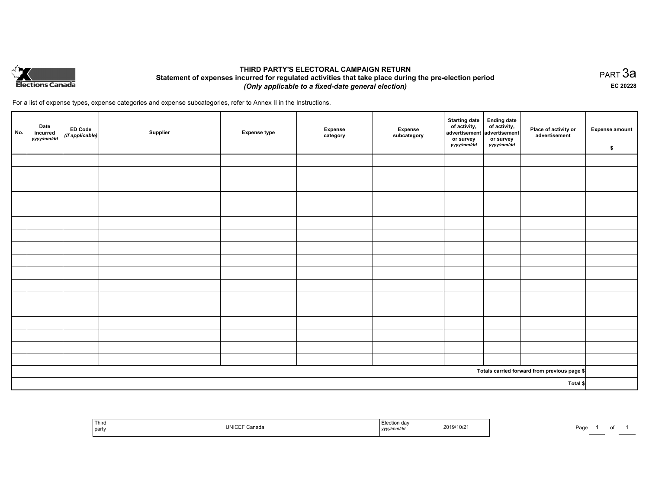

## **THIRD PARTY'S ELECTORAL CAMPAIGN RETURN Statement of expenses incurred for regulated activities that take place during the pre-election period**  *(Only applicable to a fixed-date general election)*

For a list of expense types, expense categories and expense subcategories, refer to Annex II in the Instructions.

| No.      | Date<br>incurred<br>yyyy/mm/dd | ED Code<br>(if applicable) | Supplier | <b>Expense type</b> | <b>Expense</b><br>category | Expense<br>subcategory | Starting date<br>of activity,<br>advertisement<br>or survey<br>yyyy/mm/dd | Ending date<br>of activity,<br>advertisement<br>or survey<br>yyyy/mm/dd | Place of activity or<br>advertisement        | <b>Expense amount</b><br>\$ |
|----------|--------------------------------|----------------------------|----------|---------------------|----------------------------|------------------------|---------------------------------------------------------------------------|-------------------------------------------------------------------------|----------------------------------------------|-----------------------------|
|          |                                |                            |          |                     |                            |                        |                                                                           |                                                                         |                                              |                             |
|          |                                |                            |          |                     |                            |                        |                                                                           |                                                                         |                                              |                             |
|          |                                |                            |          |                     |                            |                        |                                                                           |                                                                         |                                              |                             |
|          |                                |                            |          |                     |                            |                        |                                                                           |                                                                         |                                              |                             |
|          |                                |                            |          |                     |                            |                        |                                                                           |                                                                         |                                              |                             |
|          |                                |                            |          |                     |                            |                        |                                                                           |                                                                         |                                              |                             |
|          |                                |                            |          |                     |                            |                        |                                                                           |                                                                         |                                              |                             |
|          |                                |                            |          |                     |                            |                        |                                                                           |                                                                         |                                              |                             |
|          |                                |                            |          |                     |                            |                        |                                                                           |                                                                         |                                              |                             |
|          |                                |                            |          |                     |                            |                        |                                                                           |                                                                         |                                              |                             |
|          |                                |                            |          |                     |                            |                        |                                                                           |                                                                         |                                              |                             |
|          |                                |                            |          |                     |                            |                        |                                                                           |                                                                         |                                              |                             |
|          |                                |                            |          |                     |                            |                        |                                                                           |                                                                         |                                              |                             |
|          |                                |                            |          |                     |                            |                        |                                                                           |                                                                         |                                              |                             |
|          |                                |                            |          |                     |                            |                        |                                                                           |                                                                         |                                              |                             |
|          |                                |                            |          |                     |                            |                        |                                                                           |                                                                         |                                              |                             |
|          |                                |                            |          |                     |                            |                        |                                                                           |                                                                         |                                              |                             |
|          |                                |                            |          |                     |                            |                        |                                                                           |                                                                         | Totals carried forward from previous page \$ |                             |
| Total \$ |                                |                            |          |                     |                            |                        |                                                                           |                                                                         |                                              |                             |

| Third<br>UNICEF Canada<br>  party | Election day<br>2019/10/21<br>yyyy/mm/dd | Page |
|-----------------------------------|------------------------------------------|------|
|-----------------------------------|------------------------------------------|------|

PART 3a **EC 20228**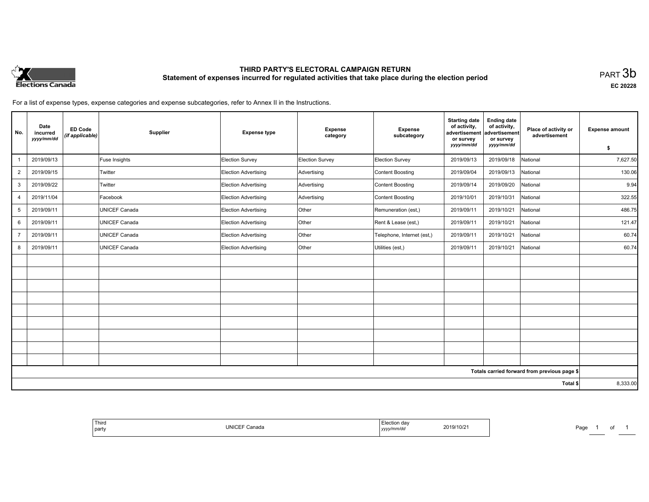

# **THIRD PARTY'S ELECTORAL CAMPAIGN RETURN Statement of expenses incurred for regulated activities that take place during the election period**<br>PART  $3\mathsf{b}$

**EC 20228**

For a list of expense types, expense categories and expense subcategories, refer to Annex II in the Instructions.

| No.            | Date<br>incurred<br>yyyy/mm/dd | <b>ED Code</b><br>(if applicable) | Supplier             | <b>Expense type</b>  | <b>Expense</b><br>category | <b>Expense</b><br>subcategory | <b>Starting date</b><br>of activity,<br>advertisement<br>or survey<br>yyyy/mm/dd | <b>Ending date</b><br>of activity,<br>advertisement<br>or survey<br>yyyy/mm/dd | Place of activity or<br>advertisement        | <b>Expense amount</b><br>s. |
|----------------|--------------------------------|-----------------------------------|----------------------|----------------------|----------------------------|-------------------------------|----------------------------------------------------------------------------------|--------------------------------------------------------------------------------|----------------------------------------------|-----------------------------|
|                | 2019/09/13                     |                                   | Fuse Insights        | Election Survey      | Election Survey            | Election Survey               | 2019/09/13                                                                       | 2019/09/18                                                                     | National                                     | 7,627.50                    |
| $\overline{2}$ | 2019/09/15                     |                                   | Twitter              | Election Advertising | Advertising                | Content Boosting              | 2019/09/04                                                                       | 2019/09/13                                                                     | National                                     | 130.06                      |
| 3              | 2019/09/22                     |                                   | Twitter              | Election Advertising | Advertising                | Content Boosting              | 2019/09/14                                                                       | 2019/09/20                                                                     | National                                     | 9.94                        |
| $\overline{4}$ | 2019/11/04                     |                                   | Facebook             | Election Advertising | Advertising                | Content Boosting              | 2019/10/01                                                                       | 2019/10/31                                                                     | National                                     | 322.55                      |
| 5              | 2019/09/11                     |                                   | <b>UNICEF Canada</b> | Election Advertising | Other                      | Remuneration (est,)           | 2019/09/11                                                                       | 2019/10/21                                                                     | National                                     | 486.75                      |
| 6              | 2019/09/11                     |                                   | <b>UNICEF Canada</b> | Election Advertising | Other                      | Rent & Lease (est,)           | 2019/09/11                                                                       | 2019/10/21                                                                     | National                                     | 121.47                      |
| $\overline{7}$ | 2019/09/11                     |                                   | UNICEF Canada        | Election Advertising | Other                      | Telephone, Internet (est,)    | 2019/09/11                                                                       | 2019/10/21                                                                     | National                                     | 60.74                       |
| 8              | 2019/09/11                     |                                   | UNICEF Canada        | Election Advertising | Other                      | Utilities (est,)              | 2019/09/11                                                                       | 2019/10/21                                                                     | National                                     | 60.74                       |
|                |                                |                                   |                      |                      |                            |                               |                                                                                  |                                                                                |                                              |                             |
|                |                                |                                   |                      |                      |                            |                               |                                                                                  |                                                                                |                                              |                             |
|                |                                |                                   |                      |                      |                            |                               |                                                                                  |                                                                                |                                              |                             |
|                |                                |                                   |                      |                      |                            |                               |                                                                                  |                                                                                |                                              |                             |
|                |                                |                                   |                      |                      |                            |                               |                                                                                  |                                                                                |                                              |                             |
|                |                                |                                   |                      |                      |                            |                               |                                                                                  |                                                                                |                                              |                             |
|                |                                |                                   |                      |                      |                            |                               |                                                                                  |                                                                                |                                              |                             |
|                |                                |                                   |                      |                      |                            |                               |                                                                                  |                                                                                |                                              |                             |
|                |                                |                                   |                      |                      |                            |                               |                                                                                  |                                                                                |                                              |                             |
|                |                                |                                   |                      |                      |                            |                               |                                                                                  |                                                                                | Totals carried forward from previous page \$ |                             |
| Total \$       |                                |                                   |                      |                      |                            |                               | 8,333.00                                                                         |                                                                                |                                              |                             |

| ≞lection dav<br>2019/10/21<br>∵mm⁄dc<br>,,,,, | <b>UNICE</b><br>Canada |
|-----------------------------------------------|------------------------|
|-----------------------------------------------|------------------------|